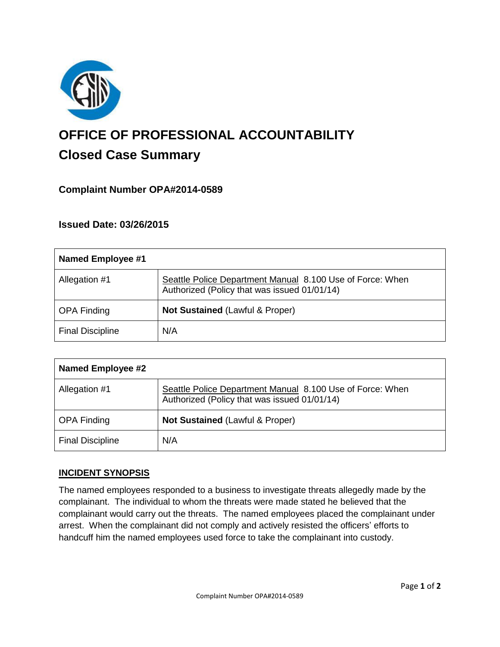

# **OFFICE OF PROFESSIONAL ACCOUNTABILITY Closed Case Summary**

# **Complaint Number OPA#2014-0589**

## **Issued Date: 03/26/2015**

| <b>Named Employee #1</b> |                                                                                                           |
|--------------------------|-----------------------------------------------------------------------------------------------------------|
| Allegation #1            | Seattle Police Department Manual 8.100 Use of Force: When<br>Authorized (Policy that was issued 01/01/14) |
| <b>OPA Finding</b>       | Not Sustained (Lawful & Proper)                                                                           |
| <b>Final Discipline</b>  | N/A                                                                                                       |

| <b>Named Employee #2</b> |                                                                                                           |
|--------------------------|-----------------------------------------------------------------------------------------------------------|
| Allegation #1            | Seattle Police Department Manual 8.100 Use of Force: When<br>Authorized (Policy that was issued 01/01/14) |
| <b>OPA Finding</b>       | <b>Not Sustained (Lawful &amp; Proper)</b>                                                                |
| <b>Final Discipline</b>  | N/A                                                                                                       |

### **INCIDENT SYNOPSIS**

The named employees responded to a business to investigate threats allegedly made by the complainant. The individual to whom the threats were made stated he believed that the complainant would carry out the threats. The named employees placed the complainant under arrest. When the complainant did not comply and actively resisted the officers' efforts to handcuff him the named employees used force to take the complainant into custody.